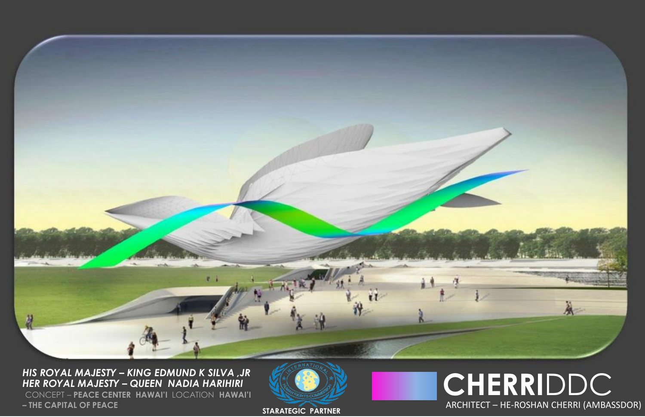

*HIS ROYAL MAJESTY – KING EDMUND K SILVA ,JR HER ROYAL MAJESTY – QUEEN NADIA HARIHIRI*

CONCEPT – **PEACE CENTER HAWAI'I** LOCATION **HAWAI'I – THE CAPITAL OF PEACE**



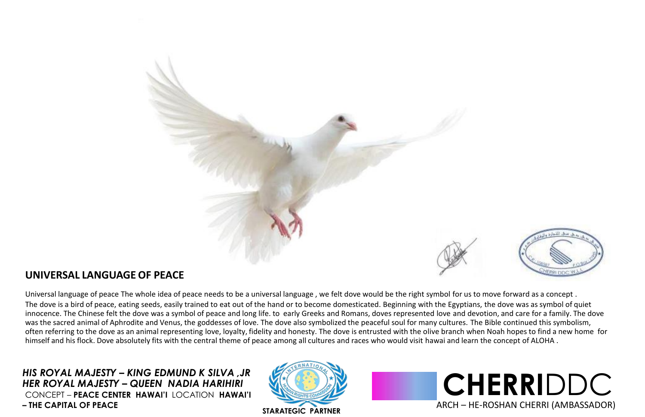

## **UNIVERSAL LANGUAGE OF PEACE**

Universal language of peace The whole idea of peace needs to be a universal language , we felt dove would be the right symbol for us to move forward as a concept . The dove is a bird of peace, eating seeds, easily trained to eat out of the hand or to become domesticated. Beginning with the Egyptians, the dove was as symbol of quiet innocence. The Chinese felt the dove was a symbol of peace and long life. to early Greeks and Romans, doves represented love and devotion, and care for a family. The dove was the sacred animal of Aphrodite and Venus, the goddesses of love. The dove also symbolized the peaceful soul for many cultures. The Bible continued this symbolism, often referring to the dove as an animal representing love, loyalty, fidelity and honesty. The dove is entrusted with the olive branch when Noah hopes to find a new home for himself and his flock. Dove absolutely fits with the central theme of peace among all cultures and races who would visit hawai and learn the concept of ALOHA.

*HIS ROYAL MAJESTY – KING EDMUND K SILVA ,JR HER ROYAL MAJESTY – QUEEN NADIA HARIHIRI* CONCEPT – **PEACE CENTER HAWAI'I** LOCATION **HAWAI'I – THE CAPITAL OF PEACE**



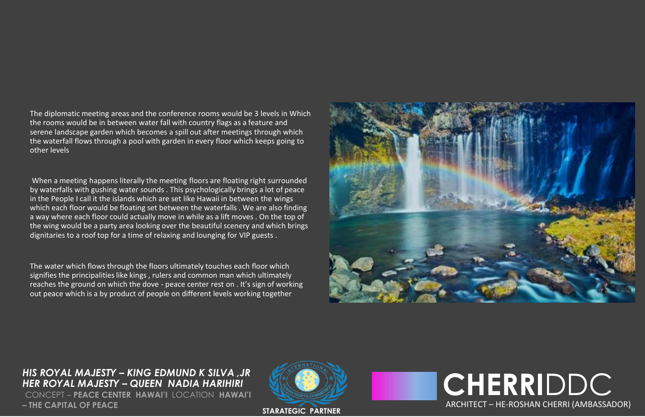The diplomatic meeting areas and the conference rooms would be 3 levels in Which the rooms would be in between water fall with country flags as a feature and serene landscape garden which becomes a spill out after meetings through which the waterfall flows through a pool with garden in every floor which keeps going to other levels

When a meeting happens literally the meeting floors are floating right surrounded by waterfalls with gushing water sounds . This psychologically brings a lot of peace in the People I call it the islands which are set like Hawaii in between the wings which each floor would be floating set between the waterfalls. We are also finding a way where each floor could actually move in while as a lift moves . On the top of the wing would be a party area looking over the beautiful scenery and which brings dignitaries to a roof top for a time of relaxing and lounging for VIP guests .

The water which flows through the floors ultimately touches each floor which signifies the principalities like kings, rulers and common man which ultimately reaches the ground on which the dove - peace center rest on . It's sign of working out peace which is a by product of people on different levels working together



*HIS ROYAL MAJESTY – KING EDMUND K SILVA ,JR HER ROYAL MAJESTY – QUEEN NADIA HARIHIRI* CONCEPT – **PEACE CENTER HAWAI'I** LOCATION **HAWAI'I – THE CAPITAL OF PEACE**



**CHERRI** DDC ARCHITECT – HE-ROSHAN CHERRI (AMBASSADOR)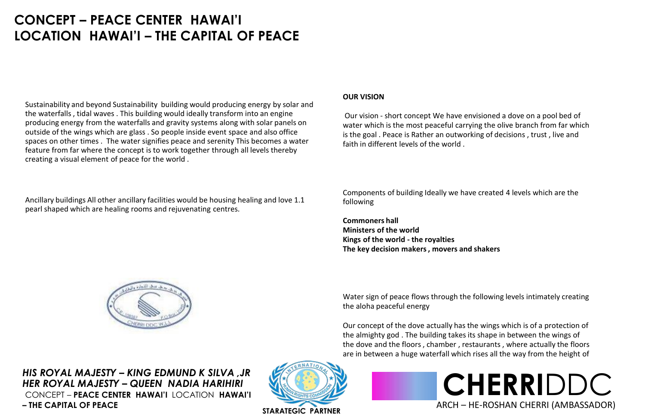# **CONCEPT – PEACE CENTER HAWAI'I LOCATION HAWAI'I – THE CAPITAL OF PEACE**

Sustainability and beyond Sustainability building would producing energy by solar and the waterfalls , tidal waves . This building would ideally transform into an engine producing energy from the waterfalls and gravity systems along with solar panels on outside of the wings which are glass . So people inside event space and also office spaces on other times . The water signifies peace and serenity This becomes a water feature from far where the concept is to work together through all levels thereby creating a visual element of peace for the world .

Ancillary buildings All other ancillary facilities would be housing healing and love 1.1 pearl shaped which are healing rooms and rejuvenating centres.

#### **OUR VISION**

Our vision - short concept We have envisioned a dove on a pool bed of water which is the most peaceful carrying the olive branch from far which is the goal . Peace is Rather an outworking of decisions , trust , live and faith in different levels of the world .

Components of building Ideally we have created 4 levels which are the following

**Commoners hall Ministers of the world Kings of the world - the royalties The key decision makers, movers and shakers**

Water sign of peace flows through the following levels intimately creating the aloha peaceful energy

Our concept of the dove actually has the wings which is of a protection of the almighty god . The building takes its shape in between the wings of the dove and the floors , chamber , restaurants , where actually the floors are in between a huge waterfall which rises all the way from the height of

*HIS ROYAL MAJESTY – KING EDMUND K SILVA ,JR HER ROYAL MAJESTY – QUEEN NADIA HARIHIRI* CONCEPT – **PEACE CENTER HAWAI'I** LOCATION **HAWAI'I – THE CAPITAL OF PEACE**





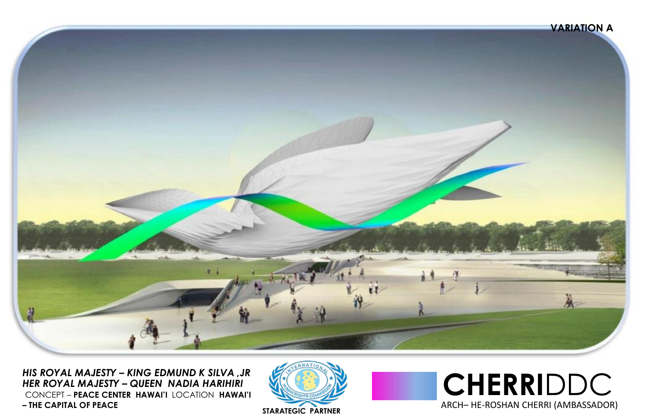

*HIS ROYAL MAJESTY – KING EDMUND K SILVA ,JR HER ROYAL MAJESTY – QUEEN NADIA HARIHIRI* CONCEPT – **PEACE CENTER HAWAI'I** LOCATION **HAWAI'I – THE CAPITAL OF PEACE**



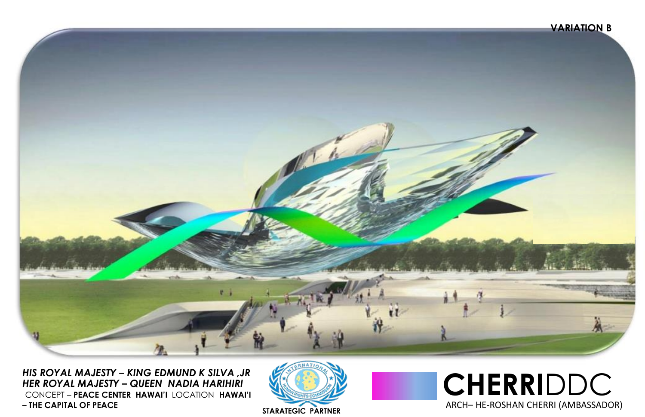### **VARIATION B**



*HIS ROYAL MAJESTY – KING EDMUND K SILVA ,JR HER ROYAL MAJESTY – QUEEN NADIA HARIHIRI* CONCEPT – **PEACE CENTER HAWAI'I** LOCATION **HAWAI'I – THE CAPITAL OF PEACE**



**CHERRI**DDC ARCH– HE-ROSHAN CHERRI (AMBASSADOR) **STARATEGIC PARTNER**